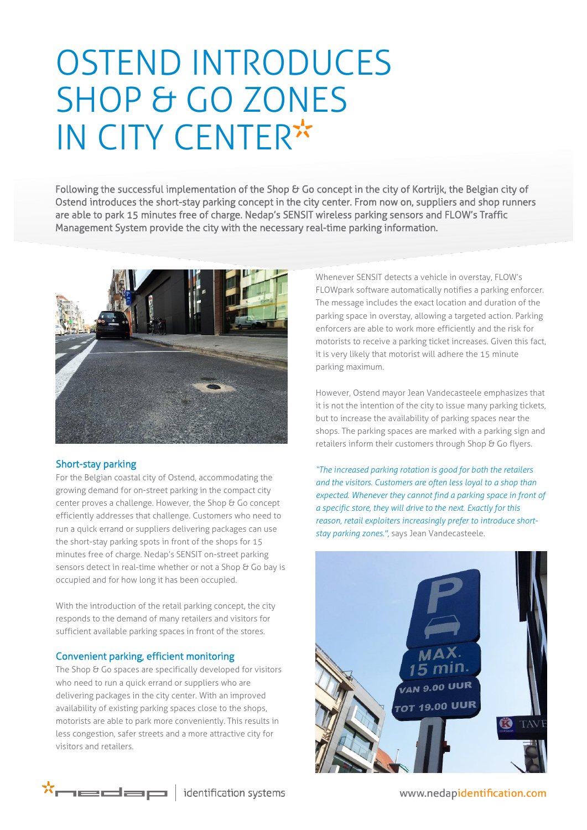# OSTEND INTRODUCES SHOP & GO ZONES IN CITY CENTER

Following the successful implementation of the Shop & Go concept in the city of Kortrijk, the Belgian city of Ostend introduces the short-stay parking concept in the city center. From now on, suppliers and shop runners are able to park 15 minutes free of charge. Nedap's SENSIT wireless parking sensors and FLOW's Traffic Management System provide the city with the necessary real-time parking information.



#### Short-stay parking

For the Belgian coastal city of Ostend, accommodating the growing demand for on-street parking in the compact city center proves a challenge. However, the Shop & Go concept efficiently addresses that challenge. Customers who need to run a quick errand or suppliers delivering packages can use the short-stay parking spots in front of the shops for 15 minutes free of charge. Nedap's SENSIT on-street parking sensors detect in real-time whether or not a Shop & Go bay is occupied and for how long it has been occupied.

With the introduction of the retail parking concept, the city responds to the demand of many retailers and visitors for sufficient available parking spaces in front of the stores.

#### Convenient parking, efficient monitoring

The Shop & Go spaces are specifically developed for visitors who need to run a quick errand or suppliers who are delivering packages in the city center. With an improved availability of existing parking spaces close to the shops, motorists are able to park more conveniently. This results in less congestion, safer streets and a more attractive city for visitors and retailers.

Whenever SENSIT detects a vehicle in overstay, FLOW's FLOWpark software automatically notifies a parking enforcer. The message includes the exact location and duration of the parking space in overstay, allowing a targeted action. Parking enforcers are able to work more efficiently and the risk for motorists to receive a parking ticket increases. Given this fact, it is very likely that motorist will adhere the 15 minute parking maximum.

However, Ostend mayor Jean Vandecasteele emphasizes that it is not the intention of the city to issue many parking tickets, but to increase the availability of parking spaces near the shops. The parking spaces are marked with a parking sign and retailers inform their customers through Shop & Go flyers.

*"The increased parking rotation is good for both the retailers and the visitors. Customers are often less loyal to a shop than expected. Whenever they cannot find a parking space in front of a specific store, they will drive to the next. Exactly for this reason, retail exploiters increasingly prefer to introduce shortstay parking zones.",* says Jean Vandecasteele.





www.nedapidentification.com